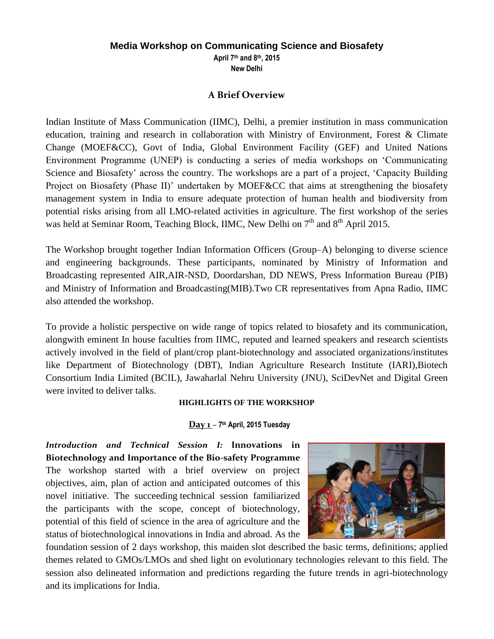# **Media Workshop on Communicating Science and Biosafety**

**April 7th and 8th, 2015 New Delhi**

### **A Brief Overview**

Indian Institute of Mass Communication (IIMC), Delhi, a premier institution in mass communication education, training and research in collaboration with Ministry of Environment, Forest & Climate Change (MOEF&CC), Govt of India, Global Environment Facility (GEF) and United Nations Environment Programme (UNEP) is conducting a series of media workshops on 'Communicating Science and Biosafety' across the country. The workshops are a part of a project, 'Capacity Building Project on Biosafety (Phase II)' undertaken by MOEF&CC that aims at strengthening the biosafety management system in India to ensure adequate protection of human health and biodiversity from potential risks arising from all LMO-related activities in agriculture. The first workshop of the series was held at Seminar Room, Teaching Block, IIMC, New Delhi on 7<sup>th</sup> and 8<sup>th</sup> April 2015.

The Workshop brought together Indian Information Officers (Group–A) belonging to diverse science and engineering backgrounds. These participants, nominated by Ministry of Information and Broadcasting represented AIR,AIR-NSD, Doordarshan, DD NEWS, Press Information Bureau (PIB) and Ministry of Information and Broadcasting(MIB).Two CR representatives from Apna Radio, IIMC also attended the workshop.

To provide a holistic perspective on wide range of topics related to biosafety and its communication, alongwith eminent In house faculties from IIMC, reputed and learned speakers and research scientists actively involved in the field of plant/crop plant-biotechnology and associated organizations/institutes like Department of Biotechnology (DBT), Indian Agriculture Research Institute (IARI),Biotech Consortium India Limited (BCIL), Jawaharlal Nehru University (JNU), SciDevNet and Digital Green were invited to deliver talks.

### **HIGHLIGHTS OF THE WORKSHOP**

### **Day 1** *–* **7 th April, 2015 Tuesday**

*Introduction and Technical Session I:* **Innovations in Biotechnology and Importance of the Bio-safety Programme**  The workshop started with a brief overview on project objectives, aim, plan of action and anticipated outcomes of this novel initiative. The succeeding technical session familiarized the participants with the scope, concept of biotechnology, potential of this field of science in the area of agriculture and the status of biotechnological innovations in India and abroad. As the



foundation session of 2 days workshop, this maiden slot described the basic terms, definitions; applied themes related to GMOs/LMOs and shed light on evolutionary technologies relevant to this field. The session also delineated information and predictions regarding the future trends in agri-biotechnology and its implications for India.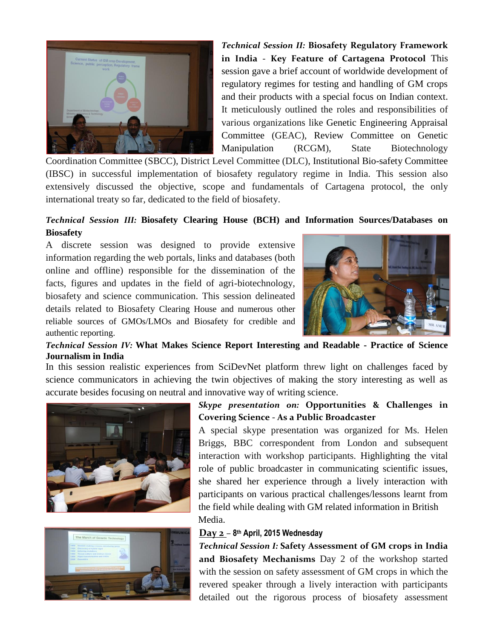

*Technical Session II:* **Biosafety Regulatory Framework in India - Key Feature of Cartagena Protocol** This session gave a brief account of worldwide development of regulatory regimes for testing and handling of GM crops and their products with a special focus on Indian context. It meticulously outlined the roles and responsibilities of various organizations like Genetic Engineering Appraisal Committee (GEAC), Review Committee on Genetic Manipulation (RCGM), State Biotechnology

Coordination Committee (SBCC), District Level Committee (DLC), Institutional Bio-safety Committee (IBSC) in successful implementation of biosafety regulatory regime in India. This session also extensively discussed the objective, scope and fundamentals of Cartagena protocol, the only international treaty so far, dedicated to the field of biosafety.

### *Technical Session III:* **Biosafety Clearing House (BCH) and Information Sources/Databases on Biosafety**

A discrete session was designed to provide extensive information regarding the web portals, links and databases (both online and offline) responsible for the dissemination of the facts, figures and updates in the field of agri-biotechnology, biosafety and science communication. This session delineated details related to Biosafety Clearing House and numerous other reliable sources of GMOs/LMOs and Biosafety for credible and authentic reporting.



### *Technical Session IV:* **What Makes Science Report Interesting and Readable - Practice of Science Journalism in India**

In this session realistic experiences from SciDevNet platform threw light on challenges faced by science communicators in achieving the twin objectives of making the story interesting as well as accurate besides focusing on neutral and innovative way of writing science.





## *Skype presentation on:* **Opportunities & Challenges in Covering Science - As a Public Broadcaster**

A special skype presentation was organized for Ms. Helen Briggs, BBC correspondent from London and subsequent interaction with workshop participants. Highlighting the vital role of public broadcaster in communicating scientific issues, she shared her experience through a lively interaction with participants on various practical challenges/lessons learnt from the field while dealing with GM related information in British Media.

## **Day 2** *–* **8 th April, 2015 Wednesday**

*Technical Session I:* **Safety Assessment of GM crops in India and Biosafety Mechanisms** Day 2 of the workshop started with the session on safety assessment of GM crops in which the revered speaker through a lively interaction with participants detailed out the rigorous process of biosafety assessment